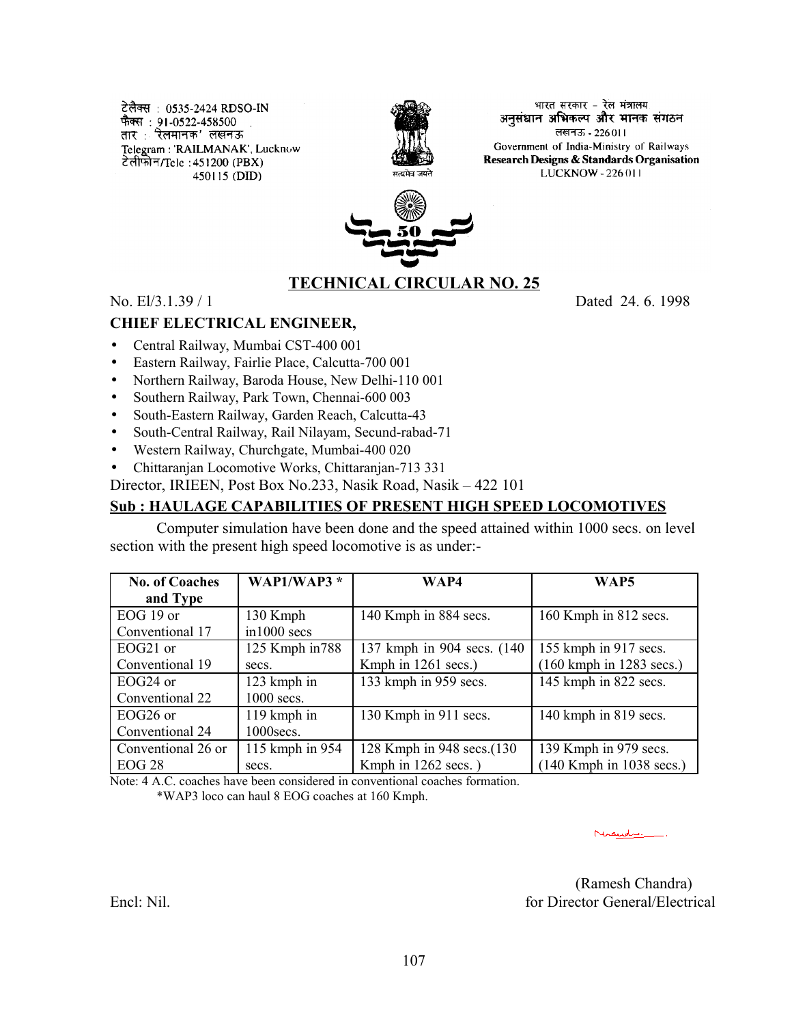टेलैक्स : 0535-2424 RDSO-IN फैक्स : 91-0522-458500 . तार : रेलमानक' लखनऊ Telegram: 'RAILMANAK', Lucknow टेलीफोन/Tele: 451200 (PBX) 450115 (DID)



भारत सरकार - रेल मंत्रालय. अनसंधान अभिकल्प और मानक संगठन लखनऊ - 226011 Government of India-Ministry of Railways Research Designs & Standards Organisation LUCKNOW - 226 011



# **TECHNICAL CIRCULAR NO. 25**

No. El/3.1.39 / 1 Dated 24. 6. 1998

#### **CHIEF ELECTRICAL ENGINEER,**

- Central Railway, Mumbai CST-400 001
- Eastern Railway, Fairlie Place, Calcutta-700 001
- Northern Railway, Baroda House, New Delhi-110 001
- Southern Railway, Park Town, Chennai-600 003
- South-Eastern Railway, Garden Reach, Calcutta-43
- South-Central Railway, Rail Nilayam, Secund-rabad-71
- Western Railway, Churchgate, Mumbai-400 020

• Chittaranjan Locomotive Works, Chittaranjan-713 331

Director, IRIEEN, Post Box No.233, Nasik Road, Nasik – 422 101

### **Sub : HAULAGE CAPABILITIES OF PRESENT HIGH SPEED LOCOMOTIVES**

Computer simulation have been done and the speed attained within 1000 secs. on level section with the present high speed locomotive is as under:-

| <b>No. of Coaches</b> | <b>WAP1/WAP3</b> * | WAP4                        | WAP5                                        |
|-----------------------|--------------------|-----------------------------|---------------------------------------------|
| and Type              |                    |                             |                                             |
| EOG 19 or             | 130 Kmph           | 140 Kmph in 884 secs.       | 160 Kmph in 812 secs.                       |
| Conventional 17       | in1000 secs        |                             |                                             |
| EOG21 or              | 125 Kmph in 788    | 137 kmph in 904 secs. (140) | 155 kmph in 917 secs.                       |
| Conventional 19       | secs.              | Kmph in 1261 secs.)         | $(160 \text{ kmph in } 1283 \text{ secs.})$ |
| EOG24 or              | 123 kmph in        | 133 kmph in 959 secs.       | 145 kmph in 822 secs.                       |
| Conventional 22       | $1000$ secs.       |                             |                                             |
| EOG <sub>26</sub> or  | 119 kmph in        | 130 Kmph in 911 secs.       | 140 kmph in 819 secs.                       |
| Conventional 24       | 1000secs.          |                             |                                             |
| Conventional 26 or    | 115 kmph in 954    | 128 Kmph in 948 secs.(130   | 139 Kmph in 979 secs.                       |
| <b>EOG 28</b>         | secs.              | Kmph in 1262 secs.)         | $(140$ Kmph in 1038 secs.)                  |

Note: 4 A.C. coaches have been considered in conventional coaches formation. \*WAP3 loco can haul 8 EOG coaches at 160 Kmph.

mandre.

(Ramesh Chandra) Encl: Nil. **For Director General/Electrical**